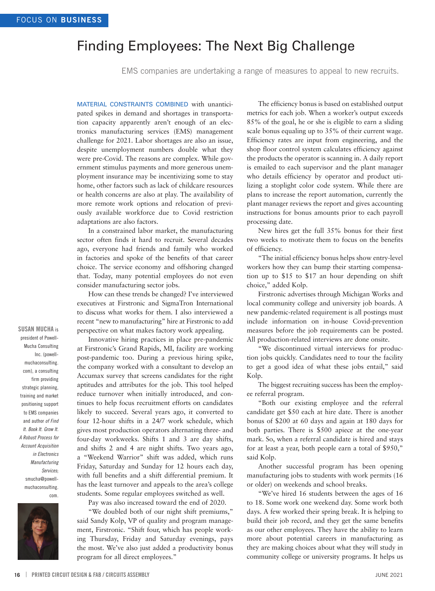## Finding Employees: The Next Big Challenge

EMS companies are undertaking a range of measures to appeal to new recruits.

MATERIAL CONSTRAINTS COMBINED with unanticipated spikes in demand and shortages in transportation capacity apparently aren't enough of an electronics manufacturing services (EMS) management challenge for 2021. Labor shortages are also an issue, despite unemployment numbers double what they were pre-Covid. The reasons are complex. While government stimulus payments and more generous unemployment insurance may be incentivizing some to stay home, other factors such as lack of childcare resources or health concerns are also at play. The availability of more remote work options and relocation of previously available workforce due to Covid restriction adaptations are also factors.

In a constrained labor market, the manufacturing sector often finds it hard to recruit. Several decades ago, everyone had friends and family who worked in factories and spoke of the benefits of that career choice. The service economy and offshoring changed that. Today, many potential employees do not even consider manufacturing sector jobs.

How can these trends be changed? I've interviewed executives at Firstronic and SigmaTron International to discuss what works for them. I also interviewed a recent "new to manufacturing" hire at Firstronic to add perspective on what makes factory work appealing.

Innovative hiring practices in place pre-pandemic at Firstronic's Grand Rapids, MI, facility are working post-pandemic too. During a previous hiring spike, the company worked with a consultant to develop an Accumax survey that screens candidates for the right aptitudes and attributes for the job. This tool helped reduce turnover when initially introduced, and continues to help focus recruitment efforts on candidates likely to succeed. Several years ago, it converted to four 12-hour shifts in a 24/7 work schedule, which gives most production operators alternating three- and four-day workweeks. Shifts 1 and 3 are day shifts, and shifts 2 and 4 are night shifts. Two years ago, a "Weekend Warrior" shift was added, which runs Friday, Saturday and Sunday for 12 hours each day, with full benefits and a shift differential premium. It has the least turnover and appeals to the area's college students. Some regular employees switched as well.

Pay was also increased toward the end of 2020.

"We doubled both of our night shift premiums," said Sandy Kolp, VP of quality and program management, Firstronic. "Shift four, which has people working Thursday, Friday and Saturday evenings, pays the most. We've also just added a productivity bonus program for all direct employees."

The efficiency bonus is based on established output metrics for each job. When a worker's output exceeds 85% of the goal, he or she is eligible to earn a sliding scale bonus equaling up to 35% of their current wage. Efficiency rates are input from engineering, and the shop floor control system calculates efficiency against the products the operator is scanning in. A daily report is emailed to each supervisor and the plant manager who details efficiency by operator and product utilizing a stoplight color code system. While there are plans to increase the report automation, currently the plant manager reviews the report and gives accounting instructions for bonus amounts prior to each payroll processing date.

New hires get the full 35% bonus for their first two weeks to motivate them to focus on the benefits of efficiency.

"The initial efficiency bonus helps show entry-level workers how they can bump their starting compensation up to \$15 to \$17 an hour depending on shift choice," added Kolp.

Firstronic advertises through Michigan Works and local community college and university job boards. A new pandemic-related requirement is all postings must include information on in-house Covid-prevention measures before the job requirements can be posted. All production-related interviews are done onsite.

"We discontinued virtual interviews for production jobs quickly. Candidates need to tour the facility to get a good idea of what these jobs entail," said Kolp.

The biggest recruiting success has been the employee referral program.

"Both our existing employee and the referral candidate get \$50 each at hire date. There is another bonus of \$200 at 60 days and again at 180 days for both parties. There is \$500 apiece at the one-year mark. So, when a referral candidate is hired and stays for at least a year, both people earn a total of \$950," said Kolp.

Another successful program has been opening manufacturing jobs to students with work permits (16 or older) on weekends and school breaks.

"We've hired 16 students between the ages of 16 to 18. Some work one weekend day. Some work both days. A few worked their spring break. It is helping to build their job record, and they get the same benefits as our other employees. They have the ability to learn more about potential careers in manufacturing as they are making choices about what they will study in community college or university programs. It helps us

**SUSAN MUCHA** is president of Powell-Mucha Consulting Inc. (powellmuchaconsulting. com), a consulting firm providing strategic planning, training and market positioning support to EMS companies and author *of Find It. Book It. Grow It. A Robust Process for Account Acquisition in Electronics Manufacturing Services*; smucha@powellmuchaconsulting. com.